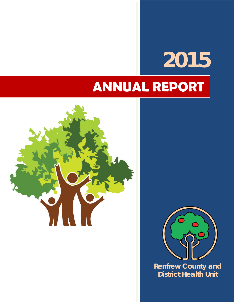# **2015 ANNUAL REPORT**





**Renfrew County and District Health Unit**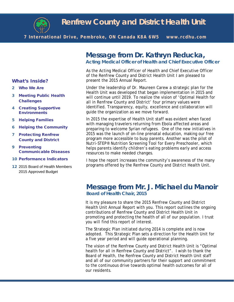

# **Renfrew County and District Health Unit**

**7 International Drive, Pembroke, ON Canada K8A 6W5 www.rcdhu.com**

# **Message from Dr. Kathryn Reducka, Acting Medical Officer of Health and Chief Executive Officer**

As the Acting Medical Officer of Health and Chief Executive Officer of the Renfrew County and District Health Unit I am pleased to present the 2015 Annual Report.

Under the leadership of Dr. Maureen Carew a strategic plan for the Health Unit was developed that began implementation in 2015 and will continue until 2019. To realize the vision of 'Optimal Health for all in Renfrew County and District' four primary values were identified. Transparency, equity, excellence and collaboration will guide the organization as we move forward.

In 2015 the expertise of Health Unit staff was evident when faced with managing travelers returning from Ebola affected areas and preparing to welcome Syrian refugees. One of the new initiatives in 2015 was the launch of on-line prenatal education, making our free program more accessible to busy parents. Another was the pilot of *Nutri-STEP®* Nutrition Screening Tool for Every Preschooler, which helps parents identify children's eating problems early and access resources to make needed changes.

I hope the report increases the community's awareness of the many programs offered by the Renfrew County and District Health Unit.

### **Message from Mr. J. Michael du Manoir Board of Health Chair, 2015**

It is my pleasure to share the 2015 Renfrew County and District Health Unit Annual Report with you. This report outlines the ongoing contributions of Renfrew County and District Health Unit in promoting and protecting the health of all of our population. I trust you will find this report of interest.

The Strategic Plan initiated during 2014 is complete and is now adopted. This Strategic Plan sets a direction for the Health Unit for a five year period and will guide operational planning.

The vision of the Renfrew County and District Health Unit is "Optimal health for all in Renfrew County and District". I wish to thank the Board of Health, the Renfrew County and District Health Unit staff and all of our community partners for their support and commitment to the continuous drive towards optimal health outcomes for all of our residents.

#### What's Inside?

- 2 Who We Are
- 3 Meeting Public Health **Challenges**
- 4 Creating Supportive **Environments**
- 5 Helping Families
- 6 Helping the Community
- 7 Protecting Renfrew County and District
- 9 Preventing Communicable Diseases
- 10 Performance Indicators
- 12 2015 Board of Health Members 2015 Approved Budget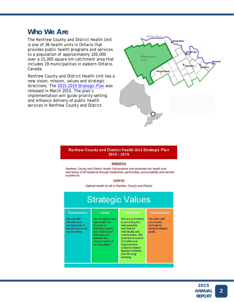### **Who We Are**

The Renfrew County and District Health Unit is one of 36 health units in Ontario that provides public health programs and services to a population of approximately 105,000 over a 15,000 square km catchment area that includes 19 municipalities in eastern Ontario, Canada.

Renfrew County and District Health Unit has a new vision, mission, values and strategic directions. The [2015-2019 Strategic Plan](http://www.rcdhu.com/Pages/Home/strategic-plan.html) was released in March 2015. The plan's implementation will guide priority-setting and enhance delivery of public health services in Renfrew County and District.



#### Renfrew County and District Health Unit Strategic Plan 2015 - 2019

#### **MISSION**

Renfrew County and District Health Unit protects and promotes the health and well-being of all residents through leadership, partnership, accountability and service excellence.

#### **VISION**

Optimal health for all in Renfrew County and District

| <b>Strategic Values</b>                                                                                      |                                                                                                                                                                                       |                                                                                                                                                                                                                                                           |                                                                                              |  |  |
|--------------------------------------------------------------------------------------------------------------|---------------------------------------------------------------------------------------------------------------------------------------------------------------------------------------|-----------------------------------------------------------------------------------------------------------------------------------------------------------------------------------------------------------------------------------------------------------|----------------------------------------------------------------------------------------------|--|--|
| <b>Transparency</b><br>We operate<br>ethically and<br>transparently in<br>the service of our<br>communities. | <b>Equity</b><br>We recognize and<br>appreciate the<br>diversity in<br><b>Renfrew County</b><br>and District and<br>endeavour to<br>address the<br>unique needs of<br>our population. | <b>Excellence</b><br>We are committed<br>to providing the<br>best possible<br>services for<br>individuals and<br>communities. We<br>embrace a culture<br>of continuous<br>improvement,<br>evidence-based<br>decision-making<br>and life-long<br>learning. | <b>Collaboration</b><br>We work with<br>community<br>partners to<br>achieve shared<br>goals. |  |  |

2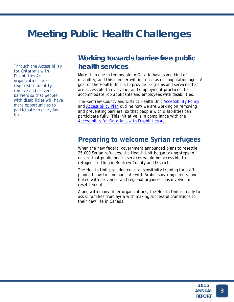# **Meeting Public Health Challenges**

*Through the Accessibility for Ontarians with Disabilities Act, organizations are required to identify, remove and prevent barriers so that people with disabilities will have more opportunities to participate in everyday life.* 

*\_\_\_\_\_\_\_\_\_\_\_\_\_\_\_\_\_\_\_\_\_\_*

*\_\_\_\_\_\_\_\_\_\_\_\_\_\_\_\_\_\_\_\_\_\_* 

### **Working towards barrier-free public health services**

More than one in ten people in Ontario have some kind of disability, and this number will increase as our population ages. A goal of the Health Unit is to provide programs and services that are accessible to everyone, and employment practices that accommodate job applicants and employees with disabilities.

The Renfrew County and District Health Unit [Accessibility Policy](http://www.rcdhu.com/Publications/Policy-Accessibility-Dec-2015.pdf) and [Accessibility Plan](http://www.rcdhu.com/Publications/Plan-Accessibility-2012-16.pdf) outline how we are working on removing and preventing barriers, so that people with disabilities can participate fully. This initiative is in compliance with the [Accessibility for Ontarians with Disabilities Act.](https://www.ontario.ca/page/accessibility-laws)

### **Preparing to welcome Syrian refugees**

When the new federal government announced plans to resettle 25,000 Syrian refugees, the Health Unit began taking steps to ensure that public health services would be accessible to refugees settling in Renfrew County and District.

The Health Unit provided cultural sensitivity training for staff, planned how to communicate with Arabic speaking clients, and linked with provincial and regional organizations involved in resettlement.

Along with many other organizations, the Health Unit is ready to assist families from Syria with making successful transitions to their new life in Canada.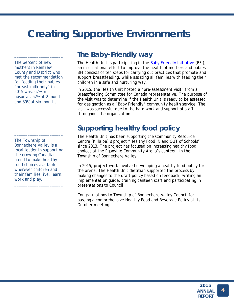# **Creating Supportive Environments**

*The percent of new mothers in Renfrew County and District who met the recommendation for feeding their babies "breast-milk only" in 2015 was: 67% in hospital, 52% at 2 months and 39% at six months.*

*\_\_\_\_\_\_\_\_\_\_\_\_\_\_\_\_\_\_\_\_\_\_*

*\_\_\_\_\_\_\_\_\_\_\_\_\_\_\_\_\_\_\_\_\_\_* 

*The Township of Bonnechere Valley is a local leader in supporting the growing Canadian trend to make healthy food choices available wherever children and their families live, learn, work and play.*

*\_\_\_\_\_\_\_\_\_\_\_\_\_\_\_\_\_\_\_\_\_\_*

*\_\_\_\_\_\_\_\_\_\_\_\_\_\_\_\_\_\_\_\_\_\_* 

### **The Baby-Friendly way**

The Health Unit is participating in the **Baby Friendly Initiative** (BFI), an international effort to improve the health of mothers and babies. BFI consists of ten steps for carrying out practices that promote and support breastfeeding, while assisting all families with feeding their children in a safe and nurturing way.

In 2015, the Health Unit hosted a "pre-assessment visit" from a Breastfeeding Committee for Canada representative. The purpose of the visit was to determine if the Health Unit is ready to be assessed for designation as a "Baby Friendly" community health service. The visit was successful due to the hard work and support of staff throughout the organization.

# **Supporting healthy food policy**

The Health Unit has been supporting the Community Resource Centre (Killaloe)'s project "Healthy Food IN and OUT of Schools" since 2013. The project has focused on increasing healthy food choices at the Eganville Community Arena's canteen, in the Township of Bonnechere Valley.

In 2015, project work involved developing a healthy food policy for the arena. The Health Unit dietitian supported the process by making changes to the draft policy based on feedback, writing an implementation guide, training canteen staff and participating in presentations to Council.

Congratulations to Township of Bonnechere Valley Council for passing a comprehensive Healthy Food and Beverage Policy at its October meeting.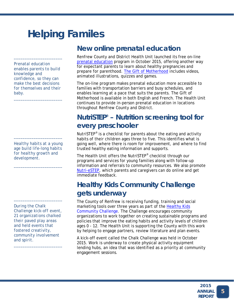# **Helping Familes**

*Prenatal education enables parents to build knowledge and confidence, so they can make the best decisions for themselves and their baby.*

*\_\_\_\_\_\_\_\_\_\_\_\_\_\_\_\_\_\_\_\_\_\_*

*\_\_\_\_\_\_\_\_\_\_\_\_\_\_\_\_\_\_\_\_\_\_* 

*Healthy habits at a young age build life-long habits for healthy growth and development.*

*\_\_\_\_\_\_\_\_\_\_\_\_\_\_\_\_\_\_\_\_\_\_*

*\_\_\_\_\_\_\_\_\_\_\_\_\_\_\_\_\_\_\_\_\_\_* 

*During the Chalk Challenge kick-off event, 21 organizations chalked their paved play areas and held events that fostered creativity, community involvement and spirit.*

*\_\_\_\_\_\_\_\_\_\_\_\_\_\_\_\_\_\_\_\_\_\_*

*\_\_\_\_\_\_\_\_\_\_\_\_\_\_\_\_\_\_\_\_\_\_* 

### **New online prenatal education**

Renfrew County and District Health Unit launched its free on-line [prenatal education](http://www.rcdhu.com/Pages/ChildHealth/classes-prenatal-education.html) program in October 2015, offering another way for expectant parents to learn about healthy pregnancies and prepare for parenthood. [The Gift of Motherhood](http://patienteducationonline.info/renfrew-county-amp;-district-health-unit/demo-the-gift-of-motherhood-canada/Default.aspx) includes videos, animated illustrations, quizzes and games.

The on-line program makes prenatal education more accessible to families with transportation barriers and busy schedules, and enables learning at a pace that suits the parents. The Gift of Motherhood is available in both English and French. The Health Unit continues to provide in-person prenatal education in locations throughout Renfrew County and District.

# **NutriSTEP® – Nutrition screening tool for every preschooler**

NutriSTEP<sup>®</sup> is a checklist for parents about the eating and activity habits of their children ages three to five. This identifies what is going well, where there is room for improvement, and where to find trusted healthy eating information and supports.

The Health Unit offers the NutriSTEP® checklist through our programs and services for young families along with follow-up information and referrals to community resources. We also promote [Nutri-eSTEP,](http://www.nutritionscreen.ca/) which parents and caregivers can do online and get immediate feedback.

# **Healthy Kids Community Challenge gets underway**

The County of Renfrew is receiving funding, training and social marketing tools over three years as part of the [Healthy Kids](http://www.health.gov.on.ca/en/public/programs/healthykids/hkcc.aspx)  [Community Challenge.](http://www.health.gov.on.ca/en/public/programs/healthykids/hkcc.aspx) The Challenge encourages community organizations to work together on creating sustainable programs and policies that improve the eating habits and activity levels of children ages 0 - 12. The Health Unit is supporting the County with this work by helping to engage partners, review literature and plan events.

A kick-off event called the Chalk Challenge was held in October 2015. Work is underway to create physical activity equipment lending hubs, an idea that was identified as a priority at community engagement sessions.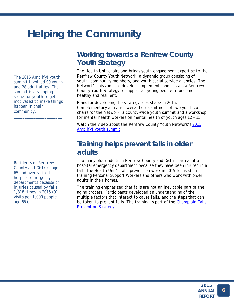# **Helping the Community**

*The 2015 Amplify! youth summit involved 90 youth and 28 adult allies. The summit is a stepping stone for youth to get motivated to make things happen in their community.*

*\_\_\_\_\_\_\_\_\_\_\_\_\_\_\_\_\_\_\_\_\_\_*

*\_\_\_\_\_\_\_\_\_\_\_\_\_\_\_\_\_\_\_\_\_\_* 

*Residents of Renfrew County and District age 65 and over visited hospital emergency departments because of injuries caused by falls 1,818 times in 2015 (91 visits per 1,000 people age 65+).*

*\_\_\_\_\_\_\_\_\_\_\_\_\_\_\_\_\_\_\_\_\_\_*

*\_\_\_\_\_\_\_\_\_\_\_\_\_\_\_\_\_\_\_\_\_\_* 

# **Working towards a Renfrew County Youth Strategy**

The Health Unit chairs and brings youth engagement expertise to the Renfrew County Youth Network, a dynamic group consisting of youth, community members, and youth social service agencies. The Network's mission is to develop, implement, and sustain a Renfrew County Youth Strategy to support all young people to become healthy and resilient.

Plans for developing the strategy took shape in 2015. Complementary activities were the recruitment of two youth cochairs for the Network, a county-wide youth summit and a workshop for mental health workers on mental health of youth ages 12 – 15.

Watch the video about the Renfrew County Youth Network's [2015](https://www.youtube.com/watch?feature=player_embedded&v=0JjabK1t4ug)  *Amplify!* [youth summit.](https://www.youtube.com/watch?feature=player_embedded&v=0JjabK1t4ug)

### **Training helps prevent falls in older adults**

Too many older adults in Renfrew County and District arrive at a hospital emergency department because they have been injured in a fall. The Health Unit's falls prevention work in 2015 focused on training Personal Support Workers and others who work with older adults in their homes.

The training emphasized that falls are *not* an inevitable part of the aging process. Participants developed an understanding of the multiple factors that interact to cause falls, and the steps that can be taken to prevent falls. The training is part of the Champlain Falls [Prevention Strategy.](http://primarycaredigest.org/tag/champlain-falls-prevention-strategy/)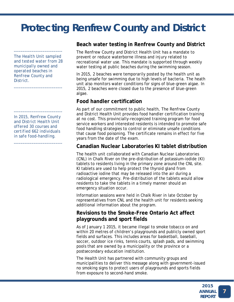# **Protecting Renfrew County and District**

*The Health Unit sampled and tested water from 28 municipally owned and operated beaches in Renfrew County and District.*

*\_\_\_\_\_\_\_\_\_\_\_\_\_\_\_\_\_\_\_\_\_\_* 

*\_\_\_\_\_\_\_\_\_\_\_\_\_\_\_\_\_\_\_\_\_\_*

*In 2015, Renfrew County and District Health Unit offered 30 courses and certified 662 individuals in safe food-handling.*

*\_\_\_\_\_\_\_\_\_\_\_\_\_\_\_\_\_\_\_\_\_\_*

*\_\_\_\_\_\_\_\_\_\_\_\_\_\_\_\_\_\_\_\_\_\_*

### **Beach water testing in Renfrew County and District**

The Renfrew County and District Health Unit has a mandate to prevent or reduce waterborne illness and injury related to recreational water use. This mandate is supported through weekly water testing at public beaches during the swimming season.

In 2015, 2 beaches were temporarily posted by the health unit as being unsafe for swimming due to high levels of bacteria. The heath unit also monitors water conditions for signs of blue-green algae. In 2015, 2 beaches were closed due to the presence of blue-green algae.

### **Food handler certification**

As part of our commitment to public health, The Renfrew County and District Health Unit provides food handler certification training at no cost. This provincially-recognized training program for food service workers and interested residents is intended to promote safe food handling strategies to control or eliminate unsafe conditions that cause food poisoning. The certificate remains in effect for five years from the date of the exam.

### **Canadian Nuclear Laboratories KI tablet distribution**

The health unit collaborated with Canadian Nuclear Laboratories (CNL) in Chalk River on the pre-distribution of potassium-iodide (KI) tablets to residents living in the primary zone around the CNL site. KI tablets are used to help protect the thyroid gland from radioactive iodine that may be released into the air during a radiological emergency. Pre-distribution of the tablets would allow residents to take the tablets in a timely manner should an emergency situation occur.

Information sessions were held in Chalk River in late October by representatives from CNL and the health unit for residents seeking additional information about the program.

### **Revisions to the Smoke-Free Ontario Act affect playgrounds and sport fields**

As of January 1 2015, it became illegal to smoke tobacco on and within 20 metres of children's playgrounds and publicly owned sport fields and surfaces. This includes areas for basketball, baseball, soccer, outdoor ice rinks, tennis courts, splash pads, and swimming pools that are owned by a municipality or the province or a postsecondary education institution.

The Health Unit has partnered with community groups and municipalities to deliver this message along with government-issued no smoking signs to protect users of playgrounds and sports fields from exposure to second-hand smoke.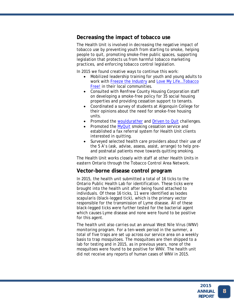### **Decreasing the impact of tobacco use**

The Health Unit is involved in decreasing the negative impact of tobacco use by preventing youth from starting to smoke, helping people to quit, promoting smoke-free public spaces, supporting legislation that protects us from harmful tobacco marketing practices, and enforcing tobacco control legislation.

In 2015 we found creative ways to continue this work:

- Mobilized leadership training for youth and young adults to work with [Freeze the Industry](http://www.freezetheindustry.com/) and [Love My Life…Tobacco](http://www.lmlontario.com/)  [Free!](http://www.lmlontario.com/) in their local communities.
- Consulted with Renfrew County Housing Corporation staff on developing a smoke-free policy for 35 social housing properties and providing cessation support to tenants.
- Coordinated a survey of students at Algonquin College for their opinions about the need for smoke-free housing units.
- Promoted the [wouldurather](https://www.wouldurather.ca/en/) and [Driven to Quit](http://convio.cancer.ca/site/TR?fr_id=19152&pg=entry#.VroJDU32ZC8) challenges.
- Promoted the [MyQuit](https://myquit.ca/) smoking cessation service and established a fax referral system for Health Unit clients interested in quitting.
- Surveyed selected health care providers about their use of the 5 A's (ask, advise, assess, assist, arrange) to help preand postnatal patients move towards quitting smoking.

The Health Unit works closely with staff at other Health Units in eastern Ontario through the Tobacco Control Area Network.

### **Vector-borne disease control program**

In 2015, the health unit submitted a total of 16 ticks to the Ontario Public Health Lab for identification. These ticks were brought into the health unit after being found attached to individuals. Of these 16 ticks, 11 were identified as *Ixodes scapularis* (black-legged tick), which is the primary vector responsible for the transmission of Lyme disease. All of these black-legged ticks were further tested for the bacterial agent which causes Lyme disease and none were found to be positive for this agent.

The health unit also carries out an annual West Nile Virus (WNV) monitoring program. For a ten-week period in the summer, a total of five traps are set up across our service area on a weekly basis to trap mosquitoes. The mosquitoes are then shipped to a lab for testing and in 2015, as in previous years, none of the mosquitoes were found to be positive for WNV. The health unit did not receive any reports of human cases of WNV in 2015.

8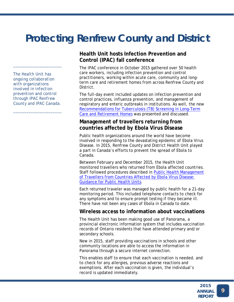# **Protecting Renfrew County and District**

*The Health Unit has ongoing collaboration with organizations involved in infection prevention and control through IPAC Renfrew County and IPAC Canada.*

*\_\_\_\_\_\_\_\_\_\_\_\_\_\_\_\_\_\_\_\_\_\_*

*\_\_\_\_\_\_\_\_\_\_\_\_\_\_\_\_\_\_\_\_\_\_*

### **Health Unit hosts Infection Prevention and Control (IPAC) fall conference**

The IPAC conference in October 2015 gathered over 50 health care workers, including infection prevention and control practitioners, working within acute care, community and longterm care and retirement homes from across Renfrew County and District.

The full-day event included updates on infection prevention and control practices, influenza prevention, and management of respiratory and enteric outbreaks in institutions. As well, the new [Recommendations for Tuberculosis \(TB\) Screening in Long-Term](http://www.rcdhu.com/Publications/id-tuberculosis-screening-recommendations-2015-Jan.pdf)  [Care and Retirement Homes](http://www.rcdhu.com/Publications/id-tuberculosis-screening-recommendations-2015-Jan.pdf) was presented and discussed.

### **Management of travellers returning from countries affected by Ebola Virus Disease**

Public health organizations around the world have become involved in responding to the devastating epidemic of Ebola Virus Disease. In 2015, Renfrew County and District Health Unit played a part in Canada's efforts to prevent the spread of Ebola to Canada.

Between February and December 2015, the Health Unit monitored travellers who returned from Ebola affected countries. Staff followed procedures described in [Public Health Management](http://www.health.gov.on.ca/en/public/programs/emu/ebola/docs/evd_phu_travellers.pdf)  [of Travellers from Countries Affected by Ebola Virus Disease:](http://www.health.gov.on.ca/en/public/programs/emu/ebola/docs/evd_phu_travellers.pdf)  [Guidance for Public Health Units.](http://www.health.gov.on.ca/en/public/programs/emu/ebola/docs/evd_phu_travellers.pdf)

Each returned traveler was managed by public health for a 21-day monitoring period. This included telephone contacts to check for any symptoms and to ensure prompt testing if they became ill. There have not been any cases of Ebola in Canada to date.

### **Wireless access to information about vaccinations**

The Health Unit has been making good use of Panorama, a provincial electronic information system that includes vaccination records of Ontario residents that have attended primary and/or secondary schools.

New in 2015, staff providing vaccinations in schools and other community locations are able to access the information in Panorama through a secure internet connection.

This enables staff to ensure that each vaccination is needed, and to check for any allergies, previous adverse reactions and exemptions. After each vaccination is given, the individual's record is updated immediately.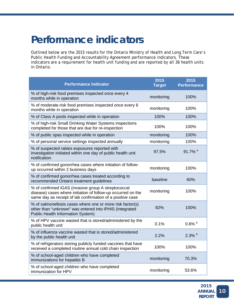# **Performance indicators**

Outlined below are the 2015 results for the Ontario Ministry of Health and Long Term Care's Public Health Funding and Accountability Agreement performance indicators. These indicators are a requirement for health unit funding and are reported by all 36 health units in Ontario.

| <b>Performance Indicator</b>                                                                                                                                                      | 2015<br><b>Target</b> | 2015<br><b>Performance</b> |
|-----------------------------------------------------------------------------------------------------------------------------------------------------------------------------------|-----------------------|----------------------------|
| % of high-risk food premises inspected once every 4<br>months while in operation                                                                                                  | monitoring            | 100%                       |
| % of moderate-risk food premises inspected once every 6<br>months while in operation                                                                                              | monitoring            | 100%                       |
| % of Class A pools inspected while in operation                                                                                                                                   | 100%                  | 100%                       |
| % of high-risk Small Drinking Water Systems inspections<br>completed for those that are due for re-inspection                                                                     | 100%                  | 100%                       |
| % of public spas inspected while in operation                                                                                                                                     | monitoring            | 100%                       |
| % of personal service settings inspected annually                                                                                                                                 | monitoring            | 100%                       |
| % of suspected rabies exposures reported with<br>investigation initiated within one day of public health unit<br>notification                                                     | 97.5%                 | 91.7% <sup>a</sup>         |
| % of confirmed gonorrhea cases where initiation of follow-<br>up occurred within 2 business days                                                                                  | monitoring            | 100%                       |
| % of confirmed gonorrhea cases treated according to<br>recommended Ontario treatment guidelines                                                                                   | baseline              | 60%                        |
| % of confirmed iGAS (invasive group A streptococcal<br>disease) cases where initiation of follow-up occurred on the<br>same day as receipt of lab confirmation of a positive case | monitoring            | 100%                       |
| % of salmonellosis cases where one or more risk factor(s)<br>other than "unknown" was entered into iPHIS (Integrated<br><b>Public Health Information System)</b>                  | 82%                   | 100%                       |
| % of HPV vaccine wasted that is stored/administered by the<br>public health unit                                                                                                  | 0.1%                  | $0.6\%$ b                  |
| % of influenza vaccine wasted that is stored/administered<br>by the public health unit                                                                                            | 2.2%                  | $2.3\%$ b                  |
| % of refrigerators storing publicly funded vaccines that have<br>received a completed routine annual cold chain inspection                                                        | 100%                  | 100%                       |
| % of school-aged children who have completed<br>immunizations for hepatitis B                                                                                                     | monitoring            | 70.3%                      |
| % of school-aged children who have completed<br>immunization for HPV                                                                                                              | monitoring            | 53.6%                      |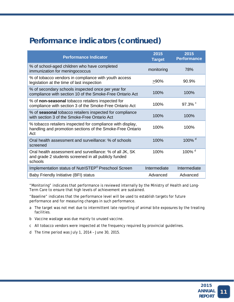# **Performance indicators (continued)**

| <b>Performance Indicator</b>                                                                                                   | 2015<br><b>Target</b> | 2015<br><b>Performance</b> |
|--------------------------------------------------------------------------------------------------------------------------------|-----------------------|----------------------------|
| % of school-aged children who have completed<br>immunization for meningococcus                                                 | monitoring            | 78%                        |
| % of tobacco vendors in compliance with youth access<br>legislation at the time of last inspection                             | $>90\%$               | 90.9%                      |
| % of secondary schools inspected once per year for<br>compliance with section 10 of the Smoke-Free Ontario Act                 | 100%                  | 100%                       |
| % of non-seasonal tobacco retailers inspected for<br>compliance with section 3 of the Smoke-Free Ontario Act                   | 100%                  | 97.3% $\degree$            |
| % of seasonal tobacco retailers inspected for compliance<br>with section 3 of the Smoke-Free Ontario Act                       | 100%                  | 100%                       |
| % tobacco retailers inspected for compliance with display,<br>handling and promotion sections of the Smoke-Free Ontario<br>Act | 100%                  | 100%                       |
| Oral health assessment and surveillance: % of schools<br>screened                                                              | 100%                  | 100% <sup>d</sup>          |
| Oral health assessment and surveillance: % of all JK, SK<br>and grade 2 students screened in all publicly funded<br>schools    | 100%                  | 100% <sup>d</sup>          |
| Implementation status of NutriSTEP <sup>©</sup> Preschool Screen                                                               | Intermediate          | Intermediate               |
| Baby Friendly Initiative (BFI) status                                                                                          | Advanced              | Advanced                   |

"Monitoring" indicates that performance is reviewed internally by the Ministry of Health and Long-Term Care to ensure that high levels of achievement are sustained.

"Baseline" indicates that the performance level will be used to establish targets for future performance and for measuring changes in such performance.

- a The target was not met due to intermittent late reporting of animal bite exposures by the treating facilities.
- b Vaccine wastage was due mainly to unused vaccine.
- c All tobacco vendors were inspected at the frequency required by provincial guidelines.
- d The time period was July 1, 2014 June 30, 2015.